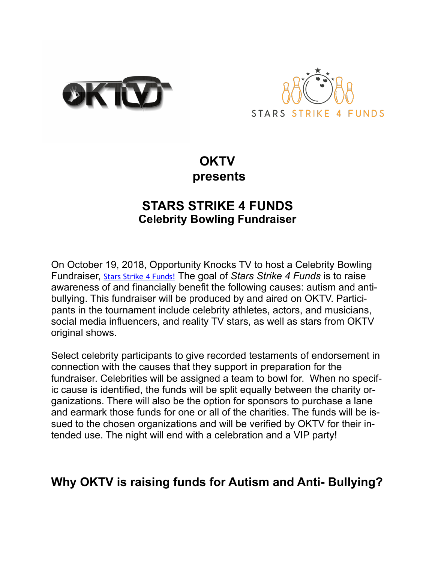



## **OKTV presents**

## **STARS STRIKE 4 FUNDS Celebrity Bowling Fundraiser**

On October 19, 2018, Opportunity Knocks TV to host a Celebrity Bowling Fundraiser, [Stars Strike 4 Funds!](http://myok.tv/blog/stars-strike-4-funds/) The goal of *Stars Strike 4 Funds* is to raise awareness of and financially benefit the following causes: autism and antibullying. This fundraiser will be produced by and aired on OKTV. Participants in the tournament include celebrity athletes, actors, and musicians, social media influencers, and reality TV stars, as well as stars from OKTV original shows.

Select celebrity participants to give recorded testaments of endorsement in connection with the causes that they support in preparation for the fundraiser. Celebrities will be assigned a team to bowl for. When no specific cause is identified, the funds will be split equally between the charity organizations. There will also be the option for sponsors to purchase a lane and earmark those funds for one or all of the charities. The funds will be issued to the chosen organizations and will be verified by OKTV for their intended use. The night will end with a celebration and a VIP party!

# **Why OKTV is raising funds for Autism and Anti- Bullying?**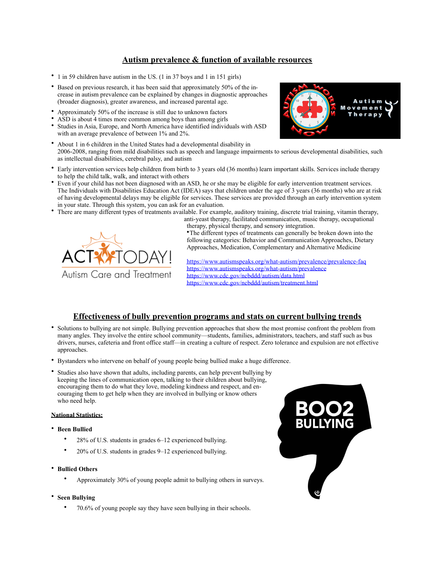### **Autism prevalence & function of available resources**

- 1 in 59 children have autism in the US. (1 in 37 boys and 1 in 151 girls)
- Based on previous research, it has been said that approximately 50% of the increase in autism prevalence can be explained by changes in diagnostic approaches (broader diagnosis), greater awareness, and increased parental age.
- Approximately 50% of the increase is still due to unknown factors
- ASD is about 4 times more common among boys than among girls
- Studies in Asia, Europe, and North America have identified individuals with ASD with an average prevalence of between 1% and 2%.
- About 1 in 6 children in the United States had a developmental disability in 2006-2008, ranging from mild disabilities such as speech and language impairments to serious developmental disabilities, such as intellectual disabilities, cerebral palsy, and autism
- Early intervention services help children from birth to 3 years old (36 months) learn important skills. Services include therapy to help the child talk, walk, and interact with others
- Even if your child has not been diagnosed with an ASD, he or she may be eligible for early intervention treatment services. The Individuals with Disabilities Education Act (IDEA) says that children under the age of 3 years (36 months) who are at risk of having developmental delays may be eligible for services. These services are provided through an early intervention system in your state. Through this system, you can ask for an evaluation.
- There are many different types of treatments available. For example, auditory training, discrete trial training, vitamin therapy,

Autism Care and Treatment

anti-yeast therapy, facilitated communication, music therapy, occupational therapy, physical therapy, and sensory integration.

•The different types of treatments can generally be broken down into the following categories: Behavior and Communication Approaches, Dietary Approaches, Medication, Complementary and Alternative Medicine

<https://www.autismspeaks.org/what-autism/prevalence/prevalence-faq> <https://www.autismspeaks.org/what-autism/prevalence> <https://www.cdc.gov/ncbddd/autism/data.html> <https://www.cdc.gov/ncbddd/autism/treatment.html>

### **Effectiveness of bully prevention programs and stats on current bullying trends**

- Solutions to bullying are not simple. Bullying prevention approaches that show the most promise confront the problem from many angles. They involve the entire school community—students, families, administrators, teachers, and staff such as bus drivers, nurses, cafeteria and front office staff—in creating a culture of respect. Zero tolerance and expulsion are not effective approaches.
- Bystanders who intervene on behalf of young people being bullied make a huge difference.
- Studies also have shown that adults, including parents, can help prevent bullying by keeping the lines of communication open, talking to their children about bullying, encouraging them to do what they love, modeling kindness and respect, and encouraging them to get help when they are involved in bullying or know others who need help.

#### **National Statistics:**

- **Been Bullied** 
	- 28% of U.S. students in grades 6–12 experienced bullying.
	- 20% of U.S. students in grades 9–12 experienced bullying.
- **Bullied Others** 
	- Approximately 30% of young people admit to bullying others in surveys.
- **Seen Bullying** 
	- 70.6% of young people say they have seen bullying in their schools.